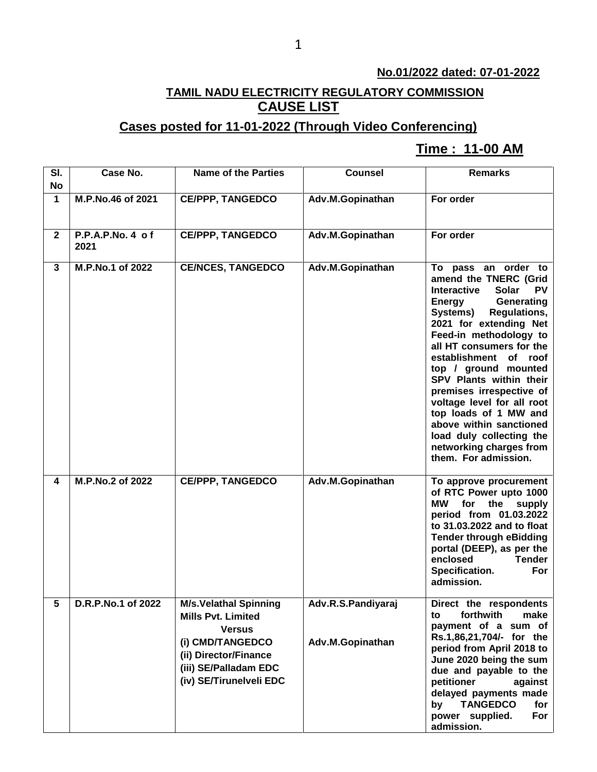## **No.01/2022 dated: 07-01-2022**

## **TAMIL NADU ELECTRICITY REGULATORY COMMISSION CAUSE LIST**

## **Cases posted for 11-01-2022 (Through Video Conferencing)**

## **Time : 11-00 AM[**

| SI.<br><b>No</b> | Case No.                 | <b>Name of the Parties</b>                                                                                                                                                  | <b>Counsel</b>                         | <b>Remarks</b>                                                                                                                                                                                                                                                                                                                                                                                                                                                                                               |
|------------------|--------------------------|-----------------------------------------------------------------------------------------------------------------------------------------------------------------------------|----------------------------------------|--------------------------------------------------------------------------------------------------------------------------------------------------------------------------------------------------------------------------------------------------------------------------------------------------------------------------------------------------------------------------------------------------------------------------------------------------------------------------------------------------------------|
| 1                | M.P.No.46 of 2021        | <b>CE/PPP, TANGEDCO</b>                                                                                                                                                     | Adv.M.Gopinathan                       | For order                                                                                                                                                                                                                                                                                                                                                                                                                                                                                                    |
| $\mathbf{2}$     | P.P.A.P.No. 4 of<br>2021 | <b>CE/PPP, TANGEDCO</b>                                                                                                                                                     | Adv.M.Gopinathan                       | For order                                                                                                                                                                                                                                                                                                                                                                                                                                                                                                    |
| 3                | M.P.No.1 of 2022         | <b>CE/NCES, TANGEDCO</b>                                                                                                                                                    | Adv.M.Gopinathan                       | To pass an order to<br>amend the TNERC (Grid<br><b>Interactive</b><br>Solar<br><b>PV</b><br>Generating<br>Energy<br>Systems)<br><b>Regulations,</b><br>2021 for extending Net<br>Feed-in methodology to<br>all HT consumers for the<br>establishment of roof<br>top / ground mounted<br>SPV Plants within their<br>premises irrespective of<br>voltage level for all root<br>top loads of 1 MW and<br>above within sanctioned<br>load duly collecting the<br>networking charges from<br>them. For admission. |
| 4                | M.P.No.2 of 2022         | <b>CE/PPP, TANGEDCO</b>                                                                                                                                                     | Adv.M.Gopinathan                       | To approve procurement<br>of RTC Power upto 1000<br>МW<br>for<br>the<br>supply<br>period from 01.03.2022<br>to 31.03.2022 and to float<br><b>Tender through eBidding</b><br>portal (DEEP), as per the<br>enclosed<br><b>Tender</b><br>Specification.<br>For<br>admission.                                                                                                                                                                                                                                    |
| 5                | D.R.P.No.1 of 2022       | <b>M/s.Velathal Spinning</b><br><b>Mills Pvt. Limited</b><br><b>Versus</b><br>(i) CMD/TANGEDCO<br>(ii) Director/Finance<br>(iii) SE/Palladam EDC<br>(iv) SE/Tirunelveli EDC | Adv.R.S.Pandiyaraj<br>Adv.M.Gopinathan | Direct the respondents<br>forthwith<br>make<br>to<br>payment of a sum of<br>Rs.1,86,21,704/- for the<br>period from April 2018 to<br>June 2020 being the sum<br>due and payable to the<br>petitioner<br>against<br>delayed payments made<br><b>TANGEDCO</b><br>for<br>by<br>For<br>power supplied.<br>admission.                                                                                                                                                                                             |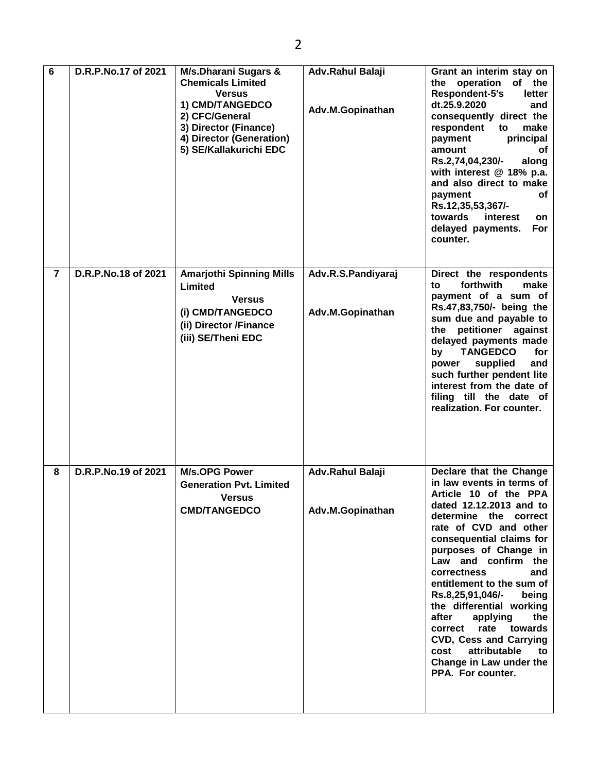| 6              | D.R.P.No.17 of 2021 | M/s.Dharani Sugars &<br><b>Chemicals Limited</b><br><b>Versus</b><br>1) CMD/TANGEDCO<br>2) CFC/General<br>3) Director (Finance)<br>4) Director (Generation)<br>5) SE/Kallakurichi EDC | Adv.Rahul Balaji<br>Adv.M.Gopinathan   | Grant an interim stay on<br>the operation<br>of the<br>Respondent-5's<br>letter<br>dt.25.9.2020<br>and<br>consequently direct the<br>respondent<br>to<br>make<br>principal<br>payment<br>amount<br>оf<br>Rs.2,74,04,230/-<br>along<br>with interest @ 18% p.a.<br>and also direct to make<br>payment<br>οf<br>Rs.12,35,53,367/-<br>towards<br>interest<br>on<br>delayed payments.<br><b>For</b><br>counter.                                                                                                       |
|----------------|---------------------|---------------------------------------------------------------------------------------------------------------------------------------------------------------------------------------|----------------------------------------|-------------------------------------------------------------------------------------------------------------------------------------------------------------------------------------------------------------------------------------------------------------------------------------------------------------------------------------------------------------------------------------------------------------------------------------------------------------------------------------------------------------------|
| $\overline{7}$ | D.R.P.No.18 of 2021 | <b>Amarjothi Spinning Mills</b><br>Limited<br><b>Versus</b><br>(i) CMD/TANGEDCO<br>(ii) Director /Finance<br>(iii) SE/Theni EDC                                                       | Adv.R.S.Pandiyaraj<br>Adv.M.Gopinathan | Direct the respondents<br>forthwith<br>to<br>make<br>payment of a sum of<br>Rs.47,83,750/- being the<br>sum due and payable to<br>the petitioner against<br>delayed payments made<br><b>TANGEDCO</b><br>for<br>by<br>supplied<br>and<br>power<br>such further pendent lite<br>interest from the date of<br>filing till the date of<br>realization. For counter.                                                                                                                                                   |
| 8              | D.R.P.No.19 of 2021 | <b>M/s.OPG Power</b><br><b>Generation Pvt. Limited</b><br><b>Versus</b><br><b>CMD/TANGEDCO</b>                                                                                        | Adv.Rahul Balaji<br>Adv.M.Gopinathan   | Declare that the Change<br>in law events in terms of<br>Article 10 of the PPA<br>dated 12.12.2013 and to<br>determine the correct<br>rate of CVD and other<br>consequential claims for<br>purposes of Change in<br>Law and confirm the<br>correctness<br>and<br>entitlement to the sum of<br>Rs.8,25,91,046/-<br>being<br>the differential working<br>after<br>the<br>applying<br>rate towards<br>correct<br>CVD, Cess and Carrying<br>attributable<br>cost<br>to<br>Change in Law under the<br>PPA. For counter. |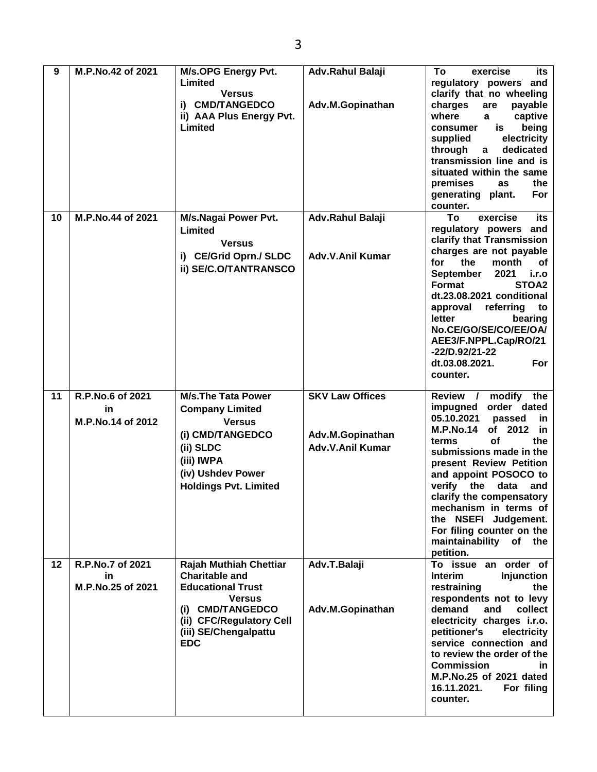| 9  | M.P.No.42 of 2021                           | <b>M/s.OPG Energy Pvt.</b><br>Limited<br><b>Versus</b><br>i) CMD/TANGEDCO<br>ii) AAA Plus Energy Pvt.<br>Limited                                                                           | Adv.Rahul Balaji<br>Adv.M.Gopinathan                                  | To<br>exercise<br>its<br>regulatory powers and<br>clarify that no wheeling<br>charges<br>are<br>payable<br>where<br>captive<br>a<br>is<br>being<br>consumer<br>electricity<br>supplied<br>through<br>dedicated<br>$\mathbf{a}$<br>transmission line and is<br>situated within the same<br>premises<br>the<br>as<br>For<br>generating plant.<br>counter.                                                             |
|----|---------------------------------------------|--------------------------------------------------------------------------------------------------------------------------------------------------------------------------------------------|-----------------------------------------------------------------------|---------------------------------------------------------------------------------------------------------------------------------------------------------------------------------------------------------------------------------------------------------------------------------------------------------------------------------------------------------------------------------------------------------------------|
| 10 | M.P.No.44 of 2021                           | M/s.Nagai Power Pvt.<br>Limited<br><b>Versus</b><br>i) CE/Grid Oprn./ SLDC<br>ii) SE/C.O/TANTRANSCO                                                                                        | Adv.Rahul Balaji<br>Adv.V.Anil Kumar                                  | To<br>exercise<br>its<br>regulatory powers and<br>clarify that Transmission<br>charges are not payable<br>the<br>for<br>month<br>оf<br>2021<br>i.r.o<br>September<br>STOA2<br>Format<br>dt.23.08.2021 conditional<br>referring<br>approval<br>to<br>letter<br>bearing<br>No.CE/GO/SE/CO/EE/OA/<br>AEE3/F.NPPL.Cap/RO/21<br>-22/D.92/21-22<br>dt.03.08.2021.<br>For<br>counter.                                      |
| 11 | R.P.No.6 of 2021<br>in<br>M.P.No.14 of 2012 | <b>M/s.The Tata Power</b><br><b>Company Limited</b><br><b>Versus</b><br>(i) CMD/TANGEDCO<br>(ii) SLDC<br>(iii) IWPA<br>(iv) Ushdev Power<br><b>Holdings Pvt. Limited</b>                   | <b>SKV Law Offices</b><br>Adv.M.Gopinathan<br><b>Adv.V.Anil Kumar</b> | Review /<br>modify<br>the<br>order dated<br>impugned<br>05.10.2021<br>passed<br>in<br><b>M.P.No.14</b><br>of 2012<br>in<br>οf<br>the<br>terms<br>submissions made in the<br>present Review Petition<br>and appoint POSOCO to<br>verify<br>the<br>data<br>and<br>clarify the compensatory<br>mechanism in terms of<br>the NSEFI Judgement.<br>For filing counter on the<br>maintainability<br>of<br>the<br>petition. |
| 12 | R.P.No.7 of 2021<br>in<br>M.P.No.25 of 2021 | <b>Rajah Muthiah Chettiar</b><br><b>Charitable and</b><br><b>Educational Trust</b><br><b>Versus</b><br>(i) CMD/TANGEDCO<br>(ii) CFC/Regulatory Cell<br>(iii) SE/Chengalpattu<br><b>EDC</b> | Adv.T.Balaji<br>Adv.M.Gopinathan                                      | To issue an order of<br><b>Injunction</b><br><b>Interim</b><br>restraining<br>the<br>respondents not to levy<br>demand<br>and<br>collect<br>electricity charges i.r.o.<br>petitioner's<br>electricity<br>service connection and<br>to review the order of the<br><b>Commission</b><br>in.<br>M.P.No.25 of 2021 dated<br>16.11.2021.<br>For filing<br>counter.                                                       |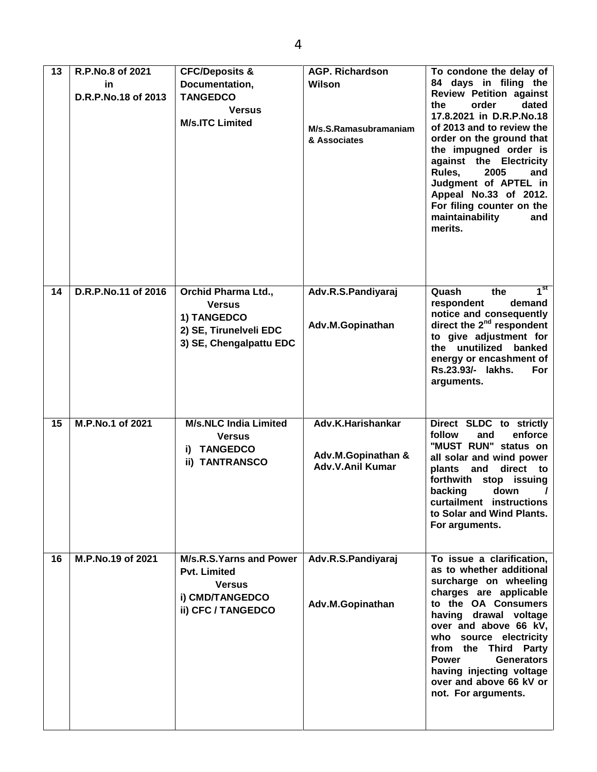| 13 | R.P.No.8 of 2021<br>in<br>D.R.P.No.18 of 2013 | <b>CFC/Deposits &amp;</b><br>Documentation,<br><b>TANGEDCO</b><br><b>Versus</b><br><b>M/s.ITC Limited</b>       | <b>AGP. Richardson</b><br>Wilson<br>M/s.S.Ramasubramaniam<br>& Associates | To condone the delay of<br>84 days in filing the<br><b>Review Petition against</b><br>dated<br>the<br>order<br>17.8.2021 in D.R.P.No.18<br>of 2013 and to review the<br>order on the ground that<br>the impugned order is<br>against the Electricity<br>Rules,<br>2005<br>and<br>Judgment of APTEL in<br>Appeal No.33 of 2012.<br>For filing counter on the<br>maintainability<br>and<br>merits. |
|----|-----------------------------------------------|-----------------------------------------------------------------------------------------------------------------|---------------------------------------------------------------------------|--------------------------------------------------------------------------------------------------------------------------------------------------------------------------------------------------------------------------------------------------------------------------------------------------------------------------------------------------------------------------------------------------|
| 14 | D.R.P.No.11 of 2016                           | <b>Orchid Pharma Ltd.,</b><br><b>Versus</b><br>1) TANGEDCO<br>2) SE, Tirunelveli EDC<br>3) SE, Chengalpattu EDC | Adv.R.S.Pandiyaraj<br>Adv.M.Gopinathan                                    | $1^{\rm st}$<br>Quash<br>the<br>demand<br>respondent<br>notice and consequently<br>direct the 2 <sup>nd</sup> respondent<br>to give adjustment for<br>the unutilized banked<br>energy or encashment of<br>Rs.23.93/- lakhs.<br>For<br>arguments.                                                                                                                                                 |
| 15 | M.P.No.1 of 2021                              | <b>M/s.NLC India Limited</b><br><b>Versus</b><br><b>TANGEDCO</b><br>i)<br>ii) TANTRANSCO                        | Adv.K.Harishankar<br>Adv.M.Gopinathan &<br><b>Adv.V.Anil Kumar</b>        | Direct SLDC to strictly<br>enforce<br>follow<br>and<br>"MUST RUN" status on<br>all solar and wind power<br>plants<br>and<br>direct<br>to<br>forthwith<br>stop issuing<br>backing<br>down<br>$\prime$<br>curtailment instructions<br>to Solar and Wind Plants.<br>For arguments.                                                                                                                  |
| 16 | M.P.No.19 of 2021                             | M/s.R.S.Yarns and Power<br><b>Pvt. Limited</b><br><b>Versus</b><br>i) CMD/TANGEDCO<br>ii) CFC / TANGEDCO        | Adv.R.S.Pandiyaraj<br>Adv.M.Gopinathan                                    | To issue a clarification,<br>as to whether additional<br>surcharge on wheeling<br>charges are applicable<br>to the OA Consumers<br>having drawal voltage<br>over and above 66 kV,<br>who source electricity<br>from the Third Party<br><b>Power</b><br><b>Generators</b><br>having injecting voltage<br>over and above 66 kV or<br>not. For arguments.                                           |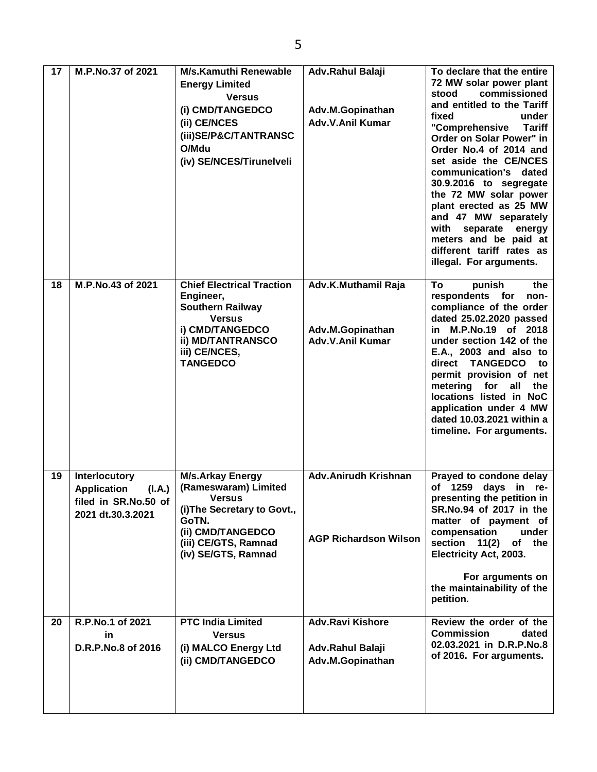| 17 | M.P.No.37 of 2021                                                                                 | <b>M/s.Kamuthi Renewable</b><br><b>Energy Limited</b><br><b>Versus</b><br>(i) CMD/TANGEDCO<br>(ii) CE/NCES<br>(iii)SE/P&C/TANTRANSC<br>O/Mdu<br>(iv) SE/NCES/Tirunelveli     | Adv.Rahul Balaji<br>Adv.M.Gopinathan<br><b>Adv.V.Anil Kumar</b> | To declare that the entire<br>72 MW solar power plant<br>commissioned<br>stood<br>and entitled to the Tariff<br>fixed<br>under<br>"Comprehensive<br><b>Tariff</b><br>Order on Solar Power" in<br>Order No.4 of 2014 and<br>set aside the CE/NCES<br>communication's dated<br>30.9.2016 to segregate<br>the 72 MW solar power<br>plant erected as 25 MW<br>and 47 MW separately<br>with<br>separate energy<br>meters and be paid at<br>different tariff rates as<br>illegal. For arguments. |
|----|---------------------------------------------------------------------------------------------------|------------------------------------------------------------------------------------------------------------------------------------------------------------------------------|-----------------------------------------------------------------|--------------------------------------------------------------------------------------------------------------------------------------------------------------------------------------------------------------------------------------------------------------------------------------------------------------------------------------------------------------------------------------------------------------------------------------------------------------------------------------------|
| 18 | M.P.No.43 of 2021                                                                                 | <b>Chief Electrical Traction</b><br>Engineer,<br><b>Southern Railway</b><br><b>Versus</b><br>i) CMD/TANGEDCO<br><b>ii) MD/TANTRANSCO</b><br>iii) CE/NCES,<br><b>TANGEDCO</b> | Adv.K.Muthamil Raja<br>Adv.M.Gopinathan<br>Adv.V.Anil Kumar     | To<br>punish<br>the<br>respondents for<br>non-<br>compliance of the order<br>dated 25.02.2020 passed<br>in M.P.No.19 of 2018<br>under section 142 of the<br>E.A., 2003 and also to<br><b>TANGEDCO</b><br>direct<br>to<br>permit provision of net<br>metering<br>for all<br>the<br>locations listed in NoC<br>application under 4 MW<br>dated 10.03.2021 within a<br>timeline. For arguments.                                                                                               |
| 19 | <b>Interlocutory</b><br><b>Application</b><br>(I.A.)<br>filed in SR.No.50 of<br>2021 dt.30.3.2021 | <b>M/s.Arkay Energy</b><br>(Rameswaram) Limited<br><b>Versus</b><br>(i) The Secretary to Govt.,<br>GoTN.<br>(ii) CMD/TANGEDCO<br>(iii) CE/GTS, Ramnad<br>(iv) SE/GTS, Ramnad | <b>Adv.Anirudh Krishnan</b><br><b>AGP Richardson Wilson</b>     | Prayed to condone delay<br>of 1259 days<br>in re-<br>presenting the petition in<br>SR.No.94 of 2017 in the<br>matter of payment of<br>compensation<br>under<br>section 11(2)<br>of the<br>Electricity Act, 2003.<br>For arguments on<br>the maintainability of the<br>petition.                                                                                                                                                                                                            |
| 20 | R.P.No.1 of 2021<br>in.<br>D.R.P.No.8 of 2016                                                     | <b>PTC India Limited</b><br><b>Versus</b><br>(i) MALCO Energy Ltd<br>(ii) CMD/TANGEDCO                                                                                       | <b>Adv.Ravi Kishore</b><br>Adv.Rahul Balaji<br>Adv.M.Gopinathan | Review the order of the<br><b>Commission</b><br>dated<br>02.03.2021 in D.R.P.No.8<br>of 2016. For arguments.                                                                                                                                                                                                                                                                                                                                                                               |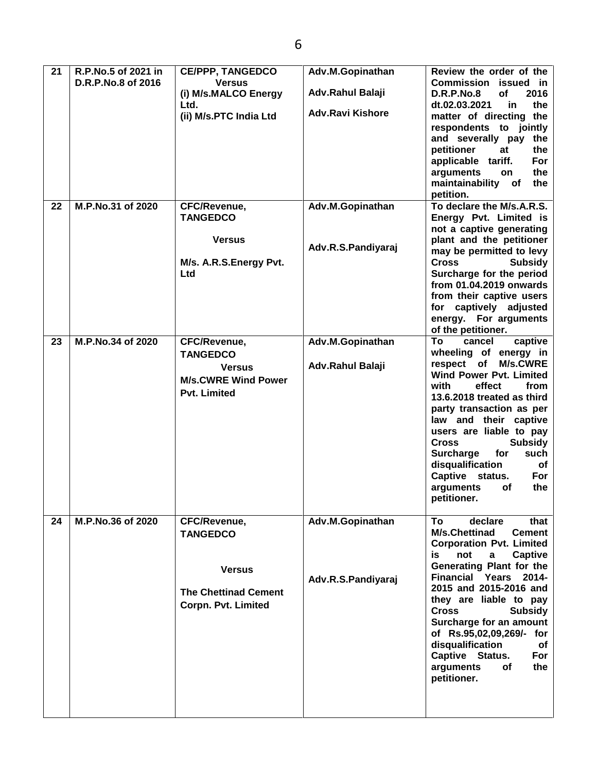| 21 | R.P.No.5 of 2021 in<br>D.R.P.No.8 of 2016 | <b>CE/PPP, TANGEDCO</b><br><b>Versus</b><br>(i) M/s.MALCO Energy<br>Ltd.<br>(ii) M/s.PTC India Ltd            | Adv.M.Gopinathan<br>Adv.Rahul Balaji<br><b>Adv.Ravi Kishore</b> | Review the order of the<br>Commission issued in<br><b>D.R.P.No.8</b><br><b>of</b><br>2016<br>dt.02.03.2021<br>the<br><b>in</b><br>matter of directing the<br>respondents to jointly<br>and severally pay the<br>petitioner<br>the<br>at<br>applicable tariff.<br><b>For</b><br>arguments<br>the<br>on<br>maintainability<br>of<br>the<br>petition.                                                                                              |
|----|-------------------------------------------|---------------------------------------------------------------------------------------------------------------|-----------------------------------------------------------------|-------------------------------------------------------------------------------------------------------------------------------------------------------------------------------------------------------------------------------------------------------------------------------------------------------------------------------------------------------------------------------------------------------------------------------------------------|
| 22 | M.P.No.31 of 2020                         | CFC/Revenue,<br><b>TANGEDCO</b><br><b>Versus</b><br>M/s. A.R.S. Energy Pvt.<br>Ltd                            | Adv.M.Gopinathan<br>Adv.R.S.Pandiyaraj                          | To declare the M/s.A.R.S.<br>Energy Pvt. Limited is<br>not a captive generating<br>plant and the petitioner<br>may be permitted to levy<br><b>Cross</b><br><b>Subsidy</b><br>Surcharge for the period<br>from 01.04.2019 onwards<br>from their captive users<br>for captively adjusted<br>energy. For arguments<br>of the petitioner.                                                                                                           |
| 23 | M.P.No.34 of 2020                         | <b>CFC/Revenue,</b><br><b>TANGEDCO</b><br><b>Versus</b><br><b>M/s.CWRE Wind Power</b><br><b>Pvt. Limited</b>  | Adv.M.Gopinathan<br>Adv.Rahul Balaji                            | To<br>cancel<br>captive<br>wheeling of energy in<br>respect of<br><b>M/s.CWRE</b><br><b>Wind Power Pvt. Limited</b><br>effect<br>from<br>with<br>13.6.2018 treated as third<br>party transaction as per<br>law and their captive<br>users are liable to pay<br><b>Cross</b><br><b>Subsidy</b><br>for<br><b>Surcharge</b><br>such<br>disqualification<br>of<br>Captive status.<br>For<br>arguments<br>the<br>оf<br>petitioner.                   |
| 24 | M.P.No.36 of 2020                         | CFC/Revenue,<br><b>TANGEDCO</b><br><b>Versus</b><br><b>The Chettinad Cement</b><br><b>Corpn. Pvt. Limited</b> | Adv.M.Gopinathan<br>Adv.R.S.Pandiyaraj                          | To<br>declare<br>that<br><b>M/s.Chettinad</b><br><b>Cement</b><br><b>Corporation Pvt. Limited</b><br><b>Captive</b><br>not<br>İS.<br>a<br>Generating Plant for the<br><b>Financial Years</b><br>2014-<br>2015 and 2015-2016 and<br>they are liable to pay<br><b>Cross</b><br><b>Subsidy</b><br>Surcharge for an amount<br>of Rs.95,02,09,269/- for<br>disqualification<br>of<br>Captive Status.<br>For<br>arguments<br>οf<br>the<br>petitioner. |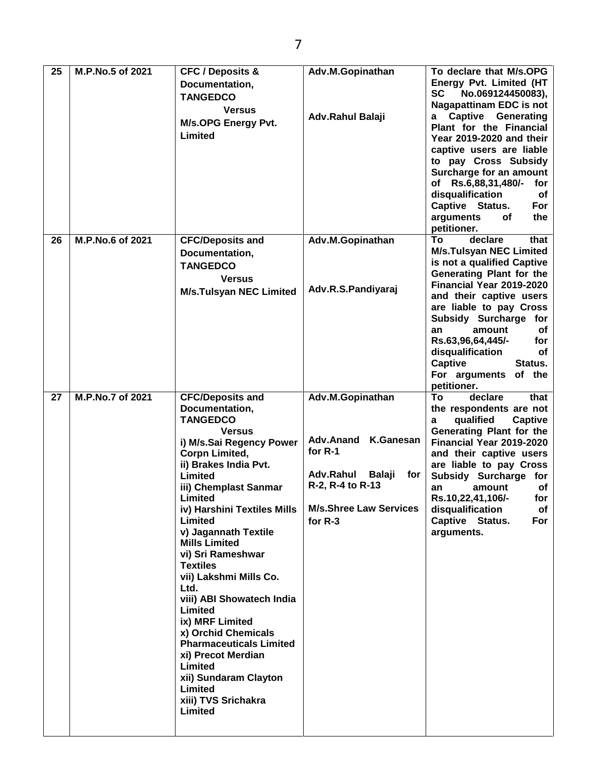| 25       | M.P.No.5 of 2021                     | <b>CFC / Deposits &amp;</b><br>Documentation,<br><b>TANGEDCO</b><br><b>Versus</b><br>M/s.OPG Energy Pvt.<br>Limited                                                                                                                                                                                                                                                                                                                                                                                                                                                     | Adv.M.Gopinathan<br>Adv.Rahul Balaji                                                                                                    | To declare that M/s.OPG<br>Energy Pvt. Limited (HT<br><b>SC</b><br>No.069124450083),<br><b>Nagapattinam EDC is not</b><br>a Captive Generating<br>Plant for the Financial<br>Year 2019-2020 and their<br>captive users are liable<br>to pay Cross Subsidy<br>Surcharge for an amount<br>of Rs.6,88,31,480/-<br>for<br>disqualification<br>of<br>Captive Status.<br>For<br>arguments<br>the<br>оf<br>petitioner. |
|----------|--------------------------------------|-------------------------------------------------------------------------------------------------------------------------------------------------------------------------------------------------------------------------------------------------------------------------------------------------------------------------------------------------------------------------------------------------------------------------------------------------------------------------------------------------------------------------------------------------------------------------|-----------------------------------------------------------------------------------------------------------------------------------------|-----------------------------------------------------------------------------------------------------------------------------------------------------------------------------------------------------------------------------------------------------------------------------------------------------------------------------------------------------------------------------------------------------------------|
| 26<br>27 | M.P.No.6 of 2021<br>M.P.No.7 of 2021 | <b>CFC/Deposits and</b><br>Documentation,<br><b>TANGEDCO</b><br><b>Versus</b><br><b>M/s.Tulsyan NEC Limited</b><br><b>CFC/Deposits and</b>                                                                                                                                                                                                                                                                                                                                                                                                                              | Adv.M.Gopinathan<br>Adv.R.S.Pandiyaraj<br>Adv.M.Gopinathan                                                                              | To<br>declare<br>that<br><b>M/s.Tulsyan NEC Limited</b><br>is not a qualified Captive<br>Generating Plant for the<br>Financial Year 2019-2020<br>and their captive users<br>are liable to pay Cross<br>Subsidy Surcharge for<br>amount<br>of<br>an<br>Rs.63,96,64,445/-<br>for<br>disqualification<br>of<br><b>Captive</b><br>Status.<br>For arguments of the<br>petitioner.<br>declare<br>To<br>that           |
|          |                                      | Documentation,<br><b>TANGEDCO</b><br><b>Versus</b><br>i) M/s.Sai Regency Power<br>Corpn Limited,<br>ii) Brakes India Pvt.<br>Limited<br>iii) Chemplast Sanmar<br>Limited<br>iv) Harshini Textiles Mills<br>Limited<br>v) Jagannath Textile<br><b>Mills Limited</b><br>vi) Sri Rameshwar<br><b>Textiles</b><br>vii) Lakshmi Mills Co.<br>Ltd.<br>viii) ABI Showatech India<br>Limited<br>ix) MRF Limited<br>x) Orchid Chemicals<br><b>Pharmaceuticals Limited</b><br>xi) Precot Merdian<br>Limited<br>xii) Sundaram Clayton<br>Limited<br>xiii) TVS Srichakra<br>Limited | Adv.Anand K.Ganesan<br>for $R-1$<br>Adv.Rahul<br><b>Balaji</b><br>for<br>R-2, R-4 to R-13<br><b>M/s.Shree Law Services</b><br>for $R-3$ | the respondents are not<br>qualified<br>Captive<br>a<br>Generating Plant for the<br>Financial Year 2019-2020<br>and their captive users<br>are liable to pay Cross<br>Subsidy Surcharge for<br>amount<br>an<br>оf<br>Rs.10,22,41,106/-<br>for<br>disqualification<br>of<br>Captive Status.<br>For<br>arguments.                                                                                                 |